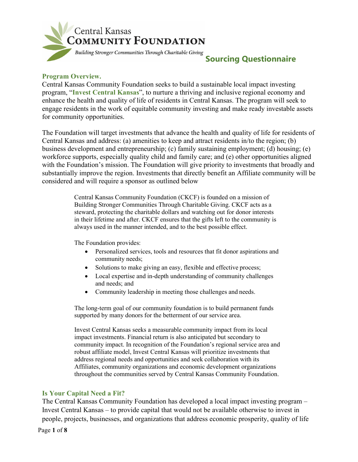

# **Sourcing Questionnaire**

### **Program Overview.**

Central Kansas Community Foundation seeks to build a sustainable local impact investing program, "**Invest Central Kansas**", to nurture a thriving and inclusive regional economy and enhance the health and quality of life of residents in Central Kansas. The program will seek to engage residents in the work of equitable community investing and make ready investable assets for community opportunities.

The Foundation will target investments that advance the health and quality of life for residents of Central Kansas and address: (a) amenities to keep and attract residents in/to the region; (b) business development and entrepreneurship; (c) family sustaining employment; (d) housing; (e) workforce supports, especially quality child and family care; and (e) other opportunities aligned with the Foundation's mission. The Foundation will give priority to investments that broadly and substantially improve the region. Investments that directly benefit an Affiliate community will be considered and will require a sponsor as outlined below

> Central Kansas Community Foundation (CKCF) is founded on a mission of Building Stronger Communities Through Charitable Giving. CKCF acts as a steward, protecting the charitable dollars and watching out for donor interests in their lifetime and after. CKCF ensures that the gifts left to the community is always used in the manner intended, and to the best possible effect.

The Foundation provides:

- Personalized services, tools and resources that fit donor aspirations and community needs;
- Solutions to make giving an easy, flexible and effective process;
- Local expertise and in-depth understanding of community challenges and needs; and
- Community leadership in meeting those challenges and needs.

The long-term goal of our community foundation is to build permanent funds supported by many donors for the betterment of our service area.

Invest Central Kansas seeks a measurable community impact from its local impact investments. Financial return is also anticipated but secondary to community impact. In recognition of the Foundation's regional service area and robust affiliate model, Invest Central Kansas will prioritize investments that address regional needs and opportunities and seek collaboration with its Affiliates, community organizations and economic development organizations throughout the communities served by Central Kansas Community Foundation.

### **Is Your Capital Need a Fit?**

The Central Kansas Community Foundation has developed a local impact investing program – Invest Central Kansas – to provide capital that would not be available otherwise to invest in people, projects, businesses, and organizations that address economic prosperity, quality of life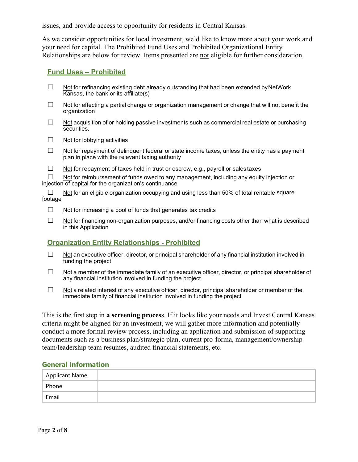issues, and provide access to opportunity for residents in Central Kansas.

As we consider opportunities for local investment, we'd like to know more about your work and your need for capital. The Prohibited Fund Uses and Prohibited Organizational Entity Relationships are below for review. Items presented are not eligible for further consideration.

### **Fund Uses – Prohibited**

- $\Box$  Not for refinancing existing debt already outstanding that had been extended by NetWork Kansas, the bank or its affiliate(s)
- $\Box$  Not for effecting a partial change or organization management or change that will not benefit the organization
- $\Box$  Not acquisition of or holding passive investments such as commercial real estate or purchasing securities.
- $\Box$  Not for lobbying activities
- $\Box$  Not for repayment of delinguent federal or state income taxes, unless the entity has a payment plan in place with the relevant taxing authority
- ☐ Not for repayment of taxes held in trust or escrow, e.g., payroll or sales taxes

 $\Box$  Not for reimbursement of funds owed to any management, including any equity injection or injection of capital for the organization's continuance

Not for an eligible organization occupying and using less than 50% of total rentable square footage

- $\Box$  Not for increasing a pool of funds that generates tax credits
- □ Not for financing non-organization purposes, and/or financing costs other than what is described in this Application

### **Organization Entity Relationships** ‐ **Prohibited**

- $\Box$  Not an executive officer, director, or principal shareholder of any financial institution involved in funding the project
- $\Box$  Not a member of the immediate family of an executive officer, director, or principal shareholder of any financial institution involved in funding the project
- $\Box$  Not a related interest of any executive officer, director, principal shareholder or member of the immediate family of financial institution involved in funding the project

This is the first step in **a screening process**. If it looks like your needs and Invest Central Kansas criteria might be aligned for an investment, we will gather more information and potentially conduct a more formal review process, including an application and submission of supporting documents such as a business plan/strategic plan, current pro-forma, management/ownership team/leadership team resumes, audited financial statements, etc.

#### **General Information**

| Applicant Name |  |
|----------------|--|
| Phone          |  |
| Email          |  |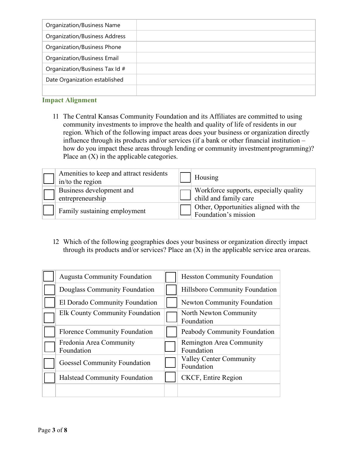### **Impact Alignment**

11 The Central Kansas Community Foundation and its Affiliates are committed to using community investments to improve the health and quality of life of residents in our region. Which of the following impact areas does your business or organization directly influence through its products and/or services (if a bank or other financial institution – how do you impact these areas through lending or community investment programming)? Place an  $(X)$  in the applicable categories.

| Amenities to keep and attract residents<br>in/to the region | Housing                                                         |
|-------------------------------------------------------------|-----------------------------------------------------------------|
| Business development and<br>entrepreneurship                | Workforce supports, especially quality<br>child and family care |
| Family sustaining employment                                | T Other, Opportunities aligned with the<br>Foundation's mission |

12 Which of the following geographies does your business or organization directly impact through its products and/or services? Place an  $(X)$  in the applicable service area orareas.

| <b>Augusta Community Foundation</b>   | <b>Hesston Community Foundation</b>          |
|---------------------------------------|----------------------------------------------|
| Douglass Community Foundation         | Hillsboro Community Foundation               |
| El Dorado Community Foundation        | <b>Newton Community Foundation</b>           |
| Elk County Community Foundation       | North Newton Community<br>Foundation         |
| Florence Community Foundation         | Peabody Community Foundation                 |
| Fredonia Area Community<br>Foundation | Remington Area Community<br>Foundation       |
| <b>Goessel Community Foundation</b>   | <b>Valley Center Community</b><br>Foundation |
| Halstead Community Foundation         | CKCF, Entire Region                          |
|                                       |                                              |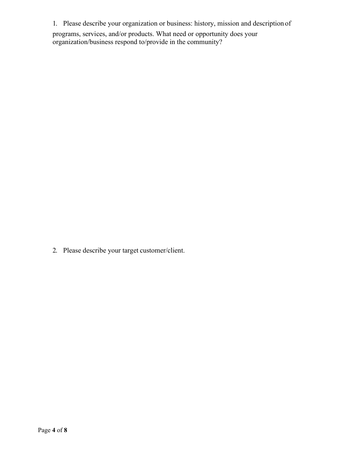1. Please describe your organization or business: history, mission and description of programs, services, and/or products. What need or opportunity does your organization/business respond to/provide in the community?

2. Please describe your target customer/client.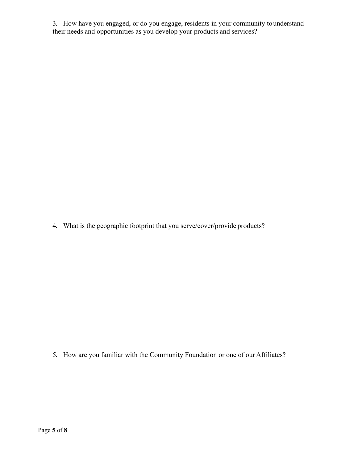3. How have you engaged, or do you engage, residents in your community tounderstand their needs and opportunities as you develop your products and services?

4. What is the geographic footprint that you serve/cover/provide products?

5. How are you familiar with the Community Foundation or one of our Affiliates?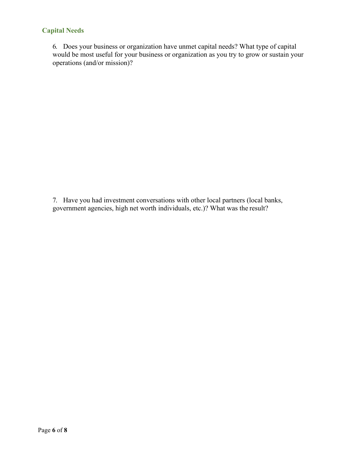# **Capital Needs**

6. Does your business or organization have unmet capital needs? What type of capital would be most useful for your business or organization as you try to grow or sustain your operations (and/or mission)?

7. Have you had investment conversations with other local partners (local banks, government agencies, high net worth individuals, etc.)? What was the result?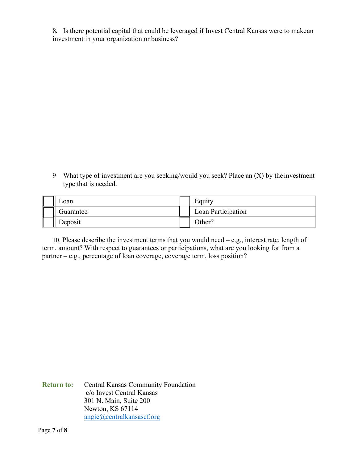8. Is there potential capital that could be leveraged if Invest Central Kansas were to makean investment in your organization or business?

9 What type of investment are you seeking/would you seek? Place an (X) by the investment type that is needed.

| ∟oan      | Equity             |
|-----------|--------------------|
| Guarantee | Loan Participation |
| Deposit   | )ther?             |

10. Please describe the investment terms that you would need – e.g., interest rate, length of term, amount? With respect to guarantees or participations, what are you looking for from a partner – e.g., percentage of loan coverage, coverage term, loss position?

**Return to:** Central Kansas Community Foundation c/o Invest Central Kansas 301 N. Main, Suite 200 Newton, KS 67114 [angie@centralkansascf.org](mailto:angie@centralkansascf.org)